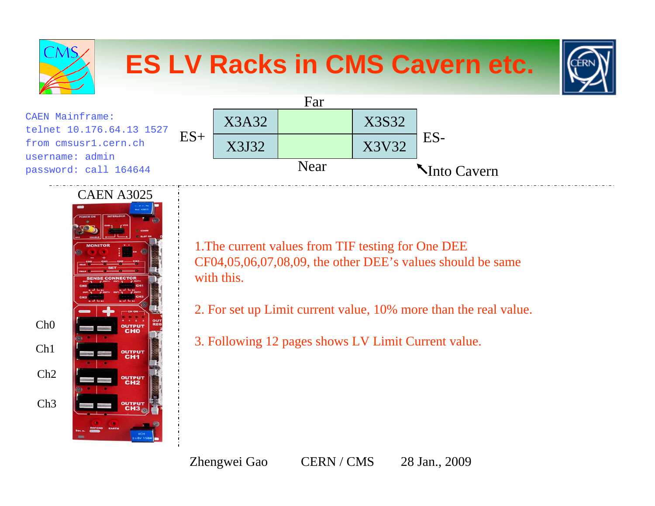

CAEN A3025Ch0**OUTPU** Ch1output Ch2OUTPUT Ch3outpu

1.The current values from TIF testing for One DEE CF04,05,06,07,08,09, the other DEE's values should be same with this.

2. For set up Limit current value, 10% more than the real value.

3. Following 12 pages shows LV Limit Current value.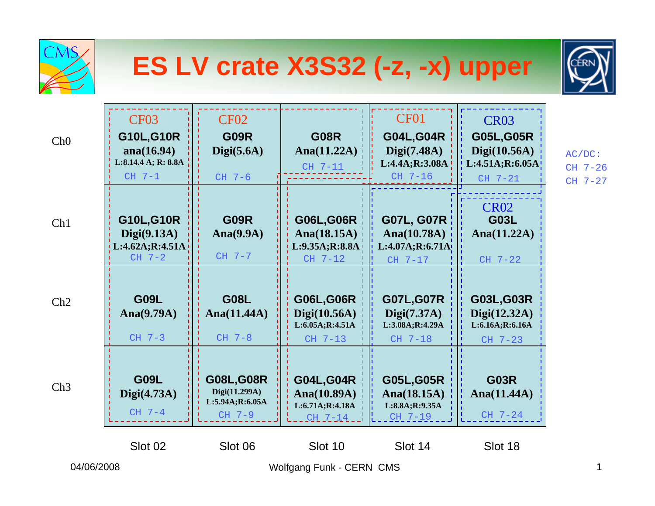| <b>CMS</b> |                                                                                       |                                                                 |                                                                    | ES LV crate X3S32 (-z, -x) upper                                       |                                                                                 |                                 |
|------------|---------------------------------------------------------------------------------------|-----------------------------------------------------------------|--------------------------------------------------------------------|------------------------------------------------------------------------|---------------------------------------------------------------------------------|---------------------------------|
| Ch0        | CF <sub>03</sub><br><b>G10L,G10R</b><br>ana(16.94)<br>L:8.14.4 A; R: 8.8A<br>$CH$ 7-1 | <b>CF02</b><br><b>G09R</b><br>Digit(5.6A)<br>$CH7-6$            | <b>G08R</b><br>Ana $(11.22A)$<br>CH 7-11                           | CF01<br><b>G04L, G04R</b><br>Digit(7.48A)<br>L:4.4A;R:3.08A<br>CH 7-16 | <b>CR03</b><br><b>G05L, G05R</b><br>Digit(10.56A)<br>L:4.51A;R:6.05A<br>CH 7-21 | $AC/DC$ :<br>CH 7-26<br>CH 7-27 |
| Ch1        | G10L, G10R<br>Digit(9.13A)<br>L:4.62A; R:4.51A<br>$CH7-2$                             | <b>G09R</b><br>Ana $(9.9A)$<br>$CH$ 7-7                         | <b>G06L,G06R</b><br>Ana $(18.15A)$<br>L:9.35A; R:8.8A<br>$CH$ 7-12 | G07L, G07R  <br>Ana $(10.78A)$<br>L:4.07A;R:6.71A<br>CH 7-17           | <b>CR02</b><br><b>G03L</b><br>Ana $(11.22A)$<br>CH 7-22                         |                                 |
| Ch2        | <b>G09L</b><br>Ana $(9.79A)$<br>$CH$ 7-3                                              | <b>G08L</b><br>Ana $(11.44A)$<br>$CH$ 7-8                       | <b>G06L,G06R</b><br>Digit(10.56A)<br>L:6.05A; R:4.51A<br>CH 7-13   | <b>G07L, G07R</b><br>Digit(7.37A)<br>L:3.08A;R:4.29A<br>CH 7-18        | G03L, G03R<br>Digit(12.32A)<br>L:6.16A;R:6.16A<br>CH 7-23                       |                                 |
| Ch3        | <b>G09L</b><br>Digit(4.73A)<br>$CH$ 7-4                                               | <b>G08L, G08R</b><br>Digi(11.299A)<br>L:5.94A;R:6.05A<br>CH 7-9 | <b>G04L, G04R</b><br>Ana $(10.89A)$<br>L:6.71A;R:4.18A<br>$CH7-14$ | <b>G05L, G05R</b><br>Ana $(18.15A)$<br>L:8.8A;R:9.35A<br>CH 7-19       | <b>G03R</b><br>Ana $(11.44A)$<br>÷<br>CH 7-24                                   |                                 |
| 04/06/2008 | Slot 02                                                                               | Slot 06                                                         | Slot 10<br>Wolfgang Funk - CERN CMS                                | Slot 14                                                                | Slot 18                                                                         | 1                               |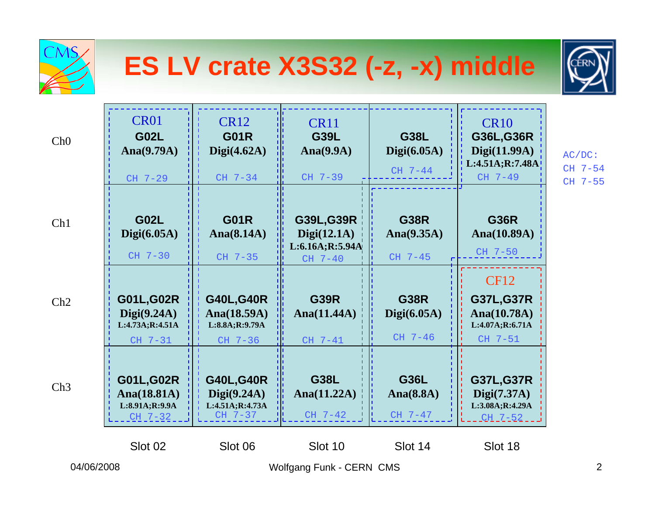| CMS        |                                                                 |                                                                 | ES LV crate X3S32 (-z, -x) middle                                 |                                          |                                                                               |                                 |
|------------|-----------------------------------------------------------------|-----------------------------------------------------------------|-------------------------------------------------------------------|------------------------------------------|-------------------------------------------------------------------------------|---------------------------------|
| Ch0        | CR <sub>01</sub><br><b>G02L</b><br>Ana $(9.79A)$<br>CH 7-29     | <b>CR12</b><br><b>G01R</b><br>Digit(4.62A)<br>CH 7-34           | <b>CR11</b><br><b>G39L</b><br>Ana $(9.9A)$<br>CH 7-39             | <b>G38L</b><br>Digit(6.05A)<br>$CH$ 7-44 | <b>CR10</b><br>G36L, G36R<br>Digit(11.99A)<br>L:4.51A; R:7.48A<br>CH 7-49     | $AC/DC$ :<br>CH 7-54<br>CH 7-55 |
| Ch1        | <b>G02L</b><br>Digit(6.05A)<br>CH 7-30                          | <b>G01R</b><br>Ana $(8.14A)$<br>CH 7-35                         | <b>G39L,G39R</b><br>Digit(12.1A)<br>L:6.16A; R:5.94A<br>$CH$ 7-40 | <b>G38R</b><br>Ana $(9.35A)$<br>CH 7-45  | <b>G36R</b><br>Ana(10.89A)<br>CH 7-50                                         |                                 |
| Ch2        | <b>G01L,G02R</b><br>Digit(9.24A)<br>L:4.73A;R:4.51A<br>CH 7-31  | <b>G40L, G40R</b><br>Ana(18.59A)<br>L:8.8A;R:9.79A<br>CH 7-36   | <b>G39R</b><br>Ana $(11.44A)$<br>CH 7-41                          | <b>G38R</b><br>Digit(6.05A)<br>CH 7-46   | <b>CF12</b><br><b>G37L, G37R</b><br>Ana(10.78A)<br>L:4.07A;R:6.71A<br>CH 7-51 |                                 |
| Ch3        | <b>G01L, G02R</b><br>Ana(18.81A)<br>L:8.91A;R:9.9A<br>$CH_7-32$ | <b>G40L, G40R</b><br>Digit(9.24A)<br>L:4.51A;R:4.73A<br>CH 7-37 | <b>G38L</b><br>Ana $(11.22A)$<br>CH 7-42                          | <b>G36L</b><br>Ana $(8.8A)$<br>CH 7-47   | <b>G37L, G37R</b><br>Digit(7.37A)<br>L:3.08A;R:4.29A<br><u>CH 7-52</u>        |                                 |
| 04/06/2008 | Slot 02                                                         | Slot 06                                                         | Slot 10<br>Wolfgang Funk - CERN CMS                               | Slot 14                                  | Slot 18                                                                       | $\overline{2}$                  |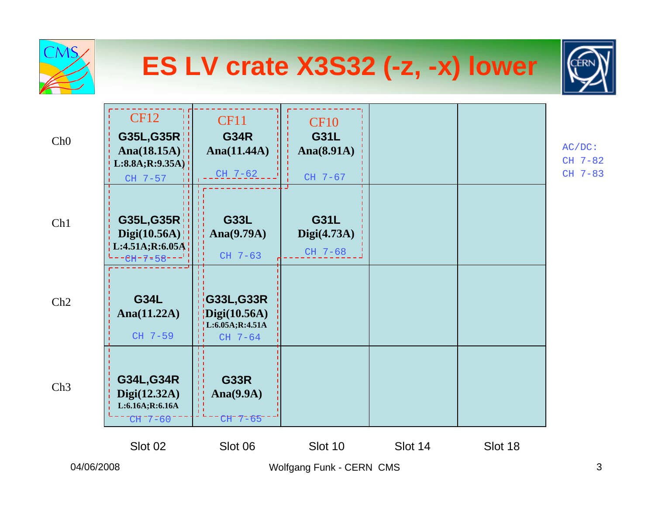| <b>CMS</b> | ES LV crate X3S32 (-z, -x) lower                                          |                                                                       |                                                     |         |         |                                 |  |
|------------|---------------------------------------------------------------------------|-----------------------------------------------------------------------|-----------------------------------------------------|---------|---------|---------------------------------|--|
| Ch0        | <b>CF12</b><br>G35L, G35R<br>Ana $(18.15A)$<br>L:8.8A;R:9.35A)<br>CH 7-57 | <b>CF11</b><br><b>G34R</b><br>Ana $(11.44A)$<br>$CH$ 7-62             | <b>CF10</b><br><b>G31L</b><br>Ana(8.91A)<br>CH 7-67 |         |         | $AC/DC$ :<br>CH 7-82<br>CH 7-83 |  |
| Ch1        | G35L, G35R<br>Digit(10.56A)<br>L:4.51A;R:6.05A<br>$CH-7=58$               | <b>G33L</b><br>Ana $(9.79A)$<br>CH 7-63                               | <b>G31L</b><br>Digit(4.73A)<br>CH 7-68              |         |         |                                 |  |
| Ch2        | <b>G34L</b><br>Ana $(11.22A)$<br>CH 7-59                                  | G33L, G33R<br>$\overline{Digi(10.56A)}$<br>L:6.05A;R:4.51A<br>CH 7-64 |                                                     |         |         |                                 |  |
| Ch3        | <b>G34L, G34R</b><br>Digit(12.32A)<br>L:6.16A; R:6.16A<br>$CH 77 - 60$    | <b>G33R</b><br>Ana $(9.9A)$<br>륍<br>CH-7-65                           |                                                     |         |         |                                 |  |
|            | Slot 02                                                                   | Slot 06                                                               | Slot 10                                             | Slot 14 | Slot 18 |                                 |  |
| 04/06/2008 |                                                                           | Wolfgang Funk - CERN CMS                                              | 3                                                   |         |         |                                 |  |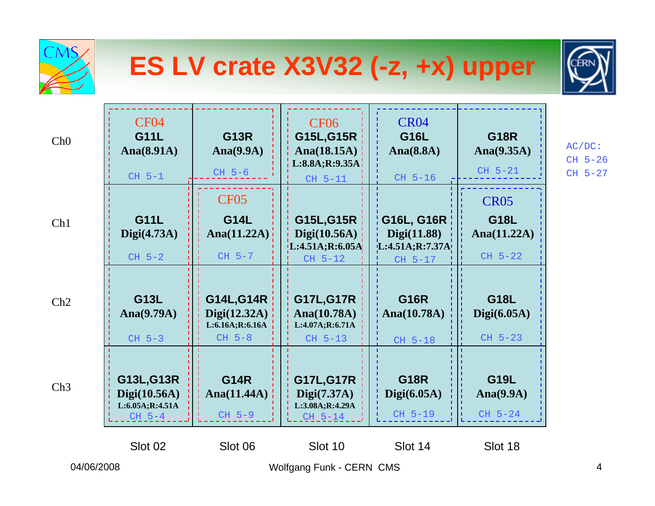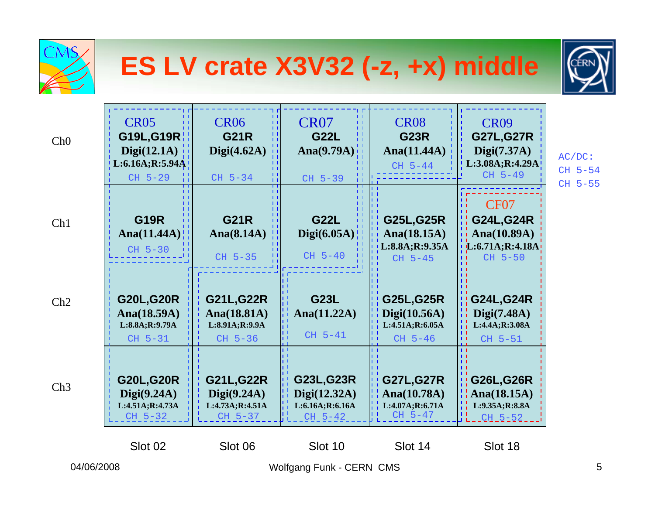| CMS        |                                                                         |                                                                 | ES LV crate X3V32 (-z, +x) middle                           |                                                                  |                                                                                         |                                 |
|------------|-------------------------------------------------------------------------|-----------------------------------------------------------------|-------------------------------------------------------------|------------------------------------------------------------------|-----------------------------------------------------------------------------------------|---------------------------------|
| Ch0        | <b>CR05</b><br>G19L, G19R<br>Digit(12.1A)<br>L:6.16A;R:5.94A<br>CH 5-29 | <b>CR06</b><br><b>G21R</b><br>Digit(4.62A)<br>CH 5-34           | <b>CR07</b><br><b>G22L</b><br>Ana $(9.79A)$<br>CH 5-39      | <b>CR08</b><br><b>G23R</b><br>Ana $(11.44A)$<br>CH 5-44          | <b>CR09</b><br><b>G27L, G27R</b><br>Digit(7.37A)<br>L:3.08A; R:4.29A<br>CH 5-49         | $AC/DC$ :<br>CH 5-54<br>CH 5-55 |
| Ch1        | <b>G19R</b><br>Ana $(11.44A)$<br>CH 5-30                                | <b>G21R</b><br>Ana $(8.14A)$<br>CH 5-35                         | <b>G22L</b><br>Digit(6.05A)<br>$CH5-40$                     | <b>G25L, G25R</b><br>Ana $(18.15A)$<br>L:8.8A;R:9.35A<br>CH 5-45 | CF <sub>07</sub><br><b>G24L, G24R</b><br>Ana $(10.89A)$<br>[L:6.71A;R:4.18A]<br>CH 5-50 |                                 |
| Ch2        | <b>G20L, G20R</b><br>Ana(18.59A)<br>L:8.8A;R:9.79A<br>CH 5-31           | <b>G21L, G22R</b><br>Ana(18.81A)<br>L:8.91A;R:9.9A<br>CH 5-36   | <b>G23L</b><br>Ana $(11.22A)$<br>CH 5-41                    | <b>G25L, G25R</b><br>Digit(10.56A)<br>L:4.51A;R:6.05A<br>CH 5-46 | <b>G24L, G24R</b><br>Digit(7.48A)<br>L:4.4A;R:3.08A<br>CH 5-51                          |                                 |
| Ch3        | <b>G20L, G20R</b><br>Digit(9.24A)<br>L:4.51A;R:4.73A<br>CH 5-32         | <b>G21L, G22R</b><br>Digit(9.24A)<br>L:4.73A;R:4.51A<br>CH 5-37 | G23L, G23R<br>Digit(12.32A)<br>L:6.16A;R:6.16A<br>$CH_5-42$ | <b>G27L, G27R</b><br>Ana(10.78A)<br>L:4.07A;R:6.71A<br>CH 5-47   | <b>G26L,G26R</b><br>Ana $(18.15A)$<br>L:9.35A;R:8.8A<br>-11<br>$CH - 5 - 52$            |                                 |
| 04/06/2008 | Slot 02                                                                 | Slot 06                                                         | Slot 10<br>Wolfgang Funk - CERN CMS                         | Slot 14                                                          | Slot 18                                                                                 | 5                               |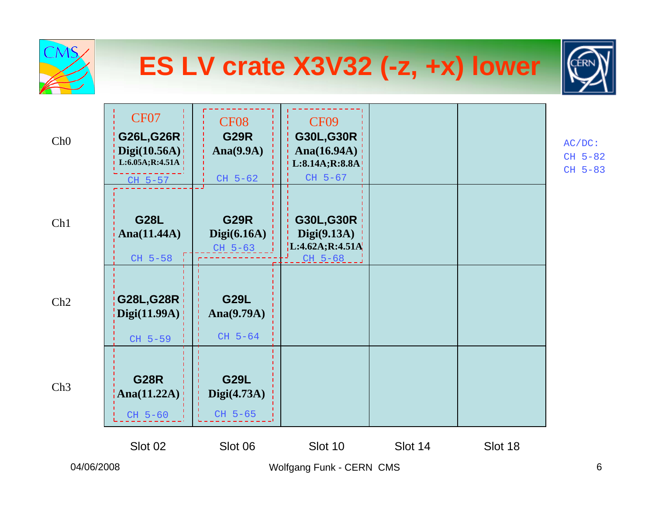|            |                                                                                |                                                       | ES LV crate X3V32 (-z, +x) lower                                                |         |         |                                 |
|------------|--------------------------------------------------------------------------------|-------------------------------------------------------|---------------------------------------------------------------------------------|---------|---------|---------------------------------|
| Ch0        | <b>CF07</b><br><b>G26L,G26R</b><br>Digit(10.56A)<br>L:6.05A;R:4.51A<br>CH 5-57 | <b>CF08</b><br><b>G29R</b><br>Ana $(9.9A)$<br>CH 5-62 | <b>CF09</b><br><b>G30L,G30R</b><br>Ana $(16.94A)$<br>L:8.14A;R:8.8A!<br>CH 5-67 |         |         | $AC/DC$ :<br>CH 5-82<br>CH 5-83 |
| Ch1        | <b>G28L</b><br>Ana $(11.44A)$<br>CH 5-58                                       | <b>G29R</b><br>Digit(6.16A)<br>$CH 5-63$              | <b>G30L,G30R</b><br>Digit(9.13A)<br>L:4.62A;R:4.51A<br>$CH 5 - 68$              |         |         |                                 |
| Ch2        | <b>G28L,G28R</b><br>$\frac{1}{2}$ Digi $(11.99A)$<br>CH 5-59                   | <b>G29L</b><br>Ana $(9.79A)$<br>CH 5-64               |                                                                                 |         |         |                                 |
| Ch3        | <b>G28R</b><br>$\mathsf{Ana}(11.22A)$<br>CH 5-60                               | <b>G29L</b><br>Digit(4.73A)<br>CH 5-65                |                                                                                 |         |         |                                 |
|            | Slot 02                                                                        | Slot 06                                               | Slot 10                                                                         | Slot 14 | Slot 18 |                                 |
| 04/06/2008 |                                                                                | Wolfgang Funk - CERN CMS                              |                                                                                 |         |         | 6                               |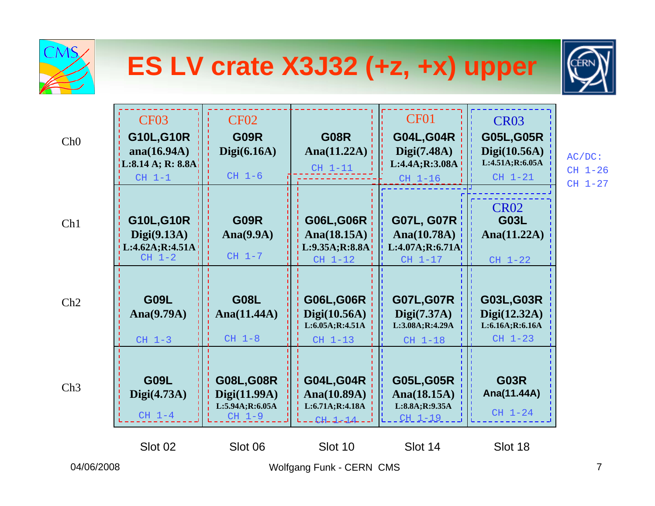| <b>CMS</b> |                                                                                      |                                                                    |                                                                      | ES LV crate X3J32 (+z, +x) upper                                                |                                                                                     |                                       |
|------------|--------------------------------------------------------------------------------------|--------------------------------------------------------------------|----------------------------------------------------------------------|---------------------------------------------------------------------------------|-------------------------------------------------------------------------------------|---------------------------------------|
| Ch0        | <b>CF03</b><br><b>G10L,G10R</b><br>ana $(16.94A)$<br>L:8.14 A; R: 8.8A<br>$CH$ $1-1$ | <b>CF02</b><br><b>G09R</b><br>Digit(6.16A)<br>$CH$ 1-6             | <b>G08R</b><br>Ana $(11.22A)$<br>$CH$ 1-11                           | <b>CF01</b><br><b>G04L, G04R</b><br>Digit(7.48A)<br>L:4.4A;R:3.08A<br>$CH$ 1-16 | <b>CR03</b><br><b>G05L, G05R</b><br>Digit(10.56A)<br>L:4.51A;R:6.05A<br>$CH$ $1-21$ | $AC/DC$ :<br>$CH$ 1-26<br>$CH$ $1-27$ |
| Ch1        | <b>G10L,G10R</b><br>Digit(9.13A)<br>L:4.62A;R:4.51A<br>$CH 1-2$                      | <b>G09R</b><br>Ana $(9.9A)$<br>$CH$ $1-7$                          | <b>G06L,G06R</b><br>Ana $(18.15A)$<br>L:9.35A;R:8.8A<br>$CH$ $1-12$  | <b>G07L, G07R</b><br>Ana $(10.78A)$<br>L:4.07A;R:6.71A<br>$CH$ $1-17$           | <b>CR02</b><br><b>G03L</b><br>Ana $(11.22A)$<br>$CH$ $1-22$                         |                                       |
| Ch2        | <b>G09L</b><br>Ana $(9.79A)$<br>$CH$ 1-3                                             | <b>G08L</b><br>Ana $(11.44A)$<br>$CH$ $1-8$                        | <b>G06L,G06R</b><br>Digit(10.56A)<br>L:6.05A;R:4.51A<br>$CH$ $1-13$  | <b>G07L, G07R</b><br>Digit(7.37A)<br>L:3.08A;R:4.29A<br>$CH$ $1-18$             | G03L, G03R<br>Digit(12.32A)<br>L:6.16A;R:6.16A<br>$CH$ 1-23                         |                                       |
| Ch3        | <b>G09L</b><br>Digit(4.73A)<br>$CH 1-4$                                              | <b>G08L, G08R</b><br>Digi(11.99A)<br>L:5.94A;R:6.05A<br>$CH$ $1-9$ | <b>G04L, G04R</b><br>Ana(10.89A)<br>L:6.71A;R:4.18A<br>$CH - 1 - 14$ | <b>G05L,G05R</b><br>Ana $(18.15A)$<br>L:8.8A;R:9.35A<br>$CH_1-19$               | <b>G03R</b><br>Ana(11.44A)<br>$CH$ $1-24$                                           |                                       |
| 04/06/2008 | Slot 02                                                                              | Slot 06                                                            | Slot 10<br>Wolfgang Funk - CERN CMS                                  | Slot 14                                                                         | Slot 18                                                                             | $\overline{7}$                        |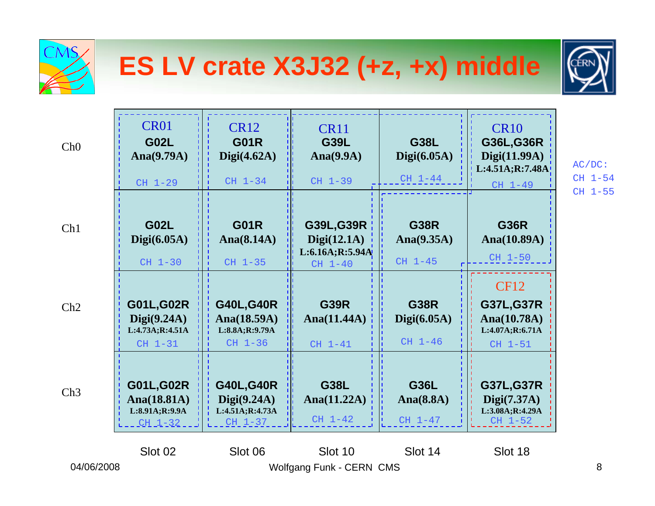

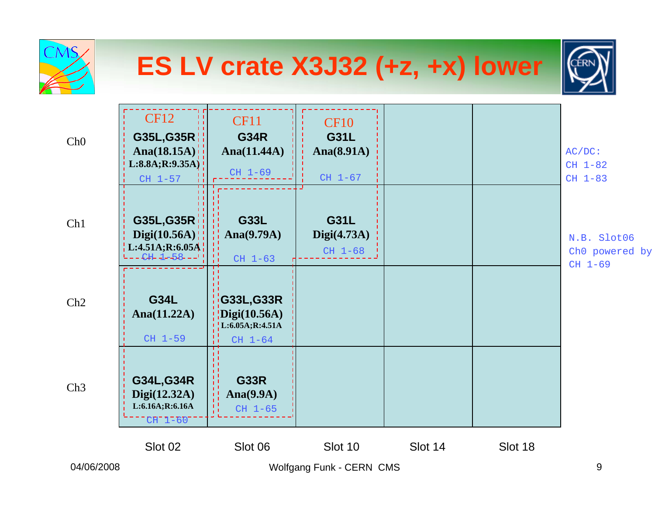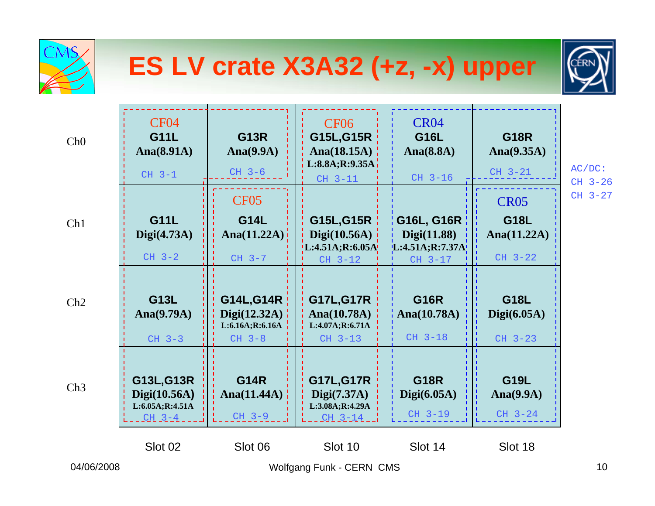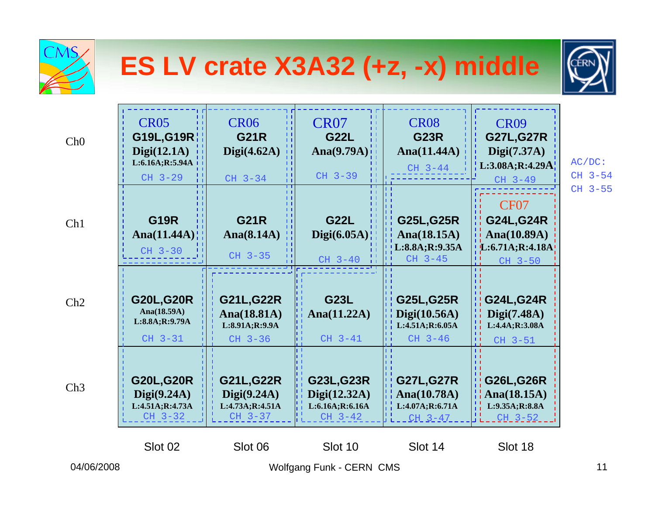| <b>CMS</b>      |                                                                               |                                                                 | ES LV crate X3A32 (+z, -x) middle                                |                                                                    |                                                                                      |                      |
|-----------------|-------------------------------------------------------------------------------|-----------------------------------------------------------------|------------------------------------------------------------------|--------------------------------------------------------------------|--------------------------------------------------------------------------------------|----------------------|
| Ch <sub>0</sub> | CR <sub>05</sub><br>G19L, G19R<br>Digit(12.1A)<br>L:6.16A; R:5.94A<br>CH 3-29 | <b>CR06</b><br><b>G21R</b><br>Digit(4.62A)<br>$CH$ 3-34         | CR <sub>07</sub><br><b>G22L</b><br>Ana $(9.79A)$ !<br>CH 3-39    | CR <sub>08</sub><br><b>G23R</b><br>Ana $(11.44A)$<br>$CH$ 3-44     | <b>CR09</b><br><b>G27L, G27R</b><br>Digit(7.37A)<br>L:3.08A; R:4.29A<br>$CH$ 3-49    | $AC/DC$ :<br>CH 3-54 |
| Ch1             | <b>G19R</b><br>Ana $(11.44A)$<br>$CH$ 3-30                                    | <b>G21R</b><br>Ana $(8.14A)$<br>CH 3-35                         | <b>G22L</b><br>Digit(6.05A)<br>$CH$ 3-40                         | <b>G25L, G25R</b><br>Ana $(18.15A)$<br>L:8.8A;R:9.35A<br>CH 3-45   | CF <sub>07</sub><br><b>G24L, G24R</b><br>Ana(10.89A)<br>[L:6.71A;R:4.18A]<br>CH 3-50 | CH 3-55              |
| Ch2             | <b>G20L, G20R</b><br>Ana $(18.59A)$<br>L:8.8A;R:9.79A<br>$CH$ 3-31            | <b>G21L, G22R</b><br>Ana(18.81A)<br>L:8.91A;R:9.9A<br>CH 3-36   | <b>G23L</b><br>Ana $(11.22A)$<br>$CH$ 3-41                       | <b>G25L, G25R</b><br>Digit(10.56A)<br>L:4.51A;R:6.05A<br>$CH$ 3-46 | <b>G24L, G24R</b><br>Digi(7.48A)<br>L:4.4A;R:3.08A<br>CH 3-51                        |                      |
| Ch3             | <b>G20L, G20R</b><br>Digit(9.24A)<br>L:4.51A;R:4.73A<br>CH 3-32               | <b>G21L, G22R</b><br>Digit(9.24A)<br>L:4.73A;R:4.51A<br>CH 3-37 | <b>G23L, G23R</b><br>Digit(12.32A)<br>L:6.16A;R:6.16A<br>CH 3-42 | <b>G27L, G27R</b><br>Ana(10.78A)<br>L:4.07A;R:6.71A<br>CH 3-47     | <b>G26L,G26R</b><br>Ana $(18.15A)$<br>L:9.35A;R:8.8A<br>$CH_3-52$                    |                      |
| 04/06/2008      | Slot 02                                                                       | Slot 06                                                         | Slot 10<br>Wolfgang Funk - CERN CMS                              | Slot 14                                                            | Slot 18                                                                              | 11                   |